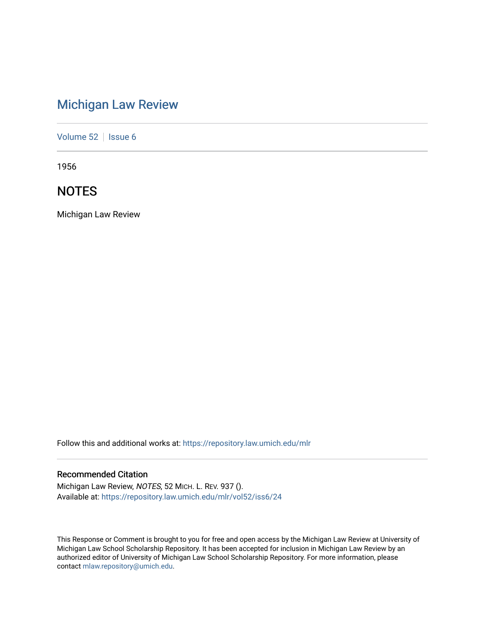# [Michigan Law Review](https://repository.law.umich.edu/mlr)

[Volume 52](https://repository.law.umich.edu/mlr/vol52) | [Issue 6](https://repository.law.umich.edu/mlr/vol52/iss6)

1956

## **NOTES**

Michigan Law Review

Follow this and additional works at: [https://repository.law.umich.edu/mlr](https://repository.law.umich.edu/mlr?utm_source=repository.law.umich.edu%2Fmlr%2Fvol52%2Fiss6%2F24&utm_medium=PDF&utm_campaign=PDFCoverPages) 

### Recommended Citation

Michigan Law Review, NOTES, 52 MICH. L. REV. 937 (). Available at: [https://repository.law.umich.edu/mlr/vol52/iss6/24](https://repository.law.umich.edu/mlr/vol52/iss6/24?utm_source=repository.law.umich.edu%2Fmlr%2Fvol52%2Fiss6%2F24&utm_medium=PDF&utm_campaign=PDFCoverPages) 

This Response or Comment is brought to you for free and open access by the Michigan Law Review at University of Michigan Law School Scholarship Repository. It has been accepted for inclusion in Michigan Law Review by an authorized editor of University of Michigan Law School Scholarship Repository. For more information, please contact [mlaw.repository@umich.edu](mailto:mlaw.repository@umich.edu).